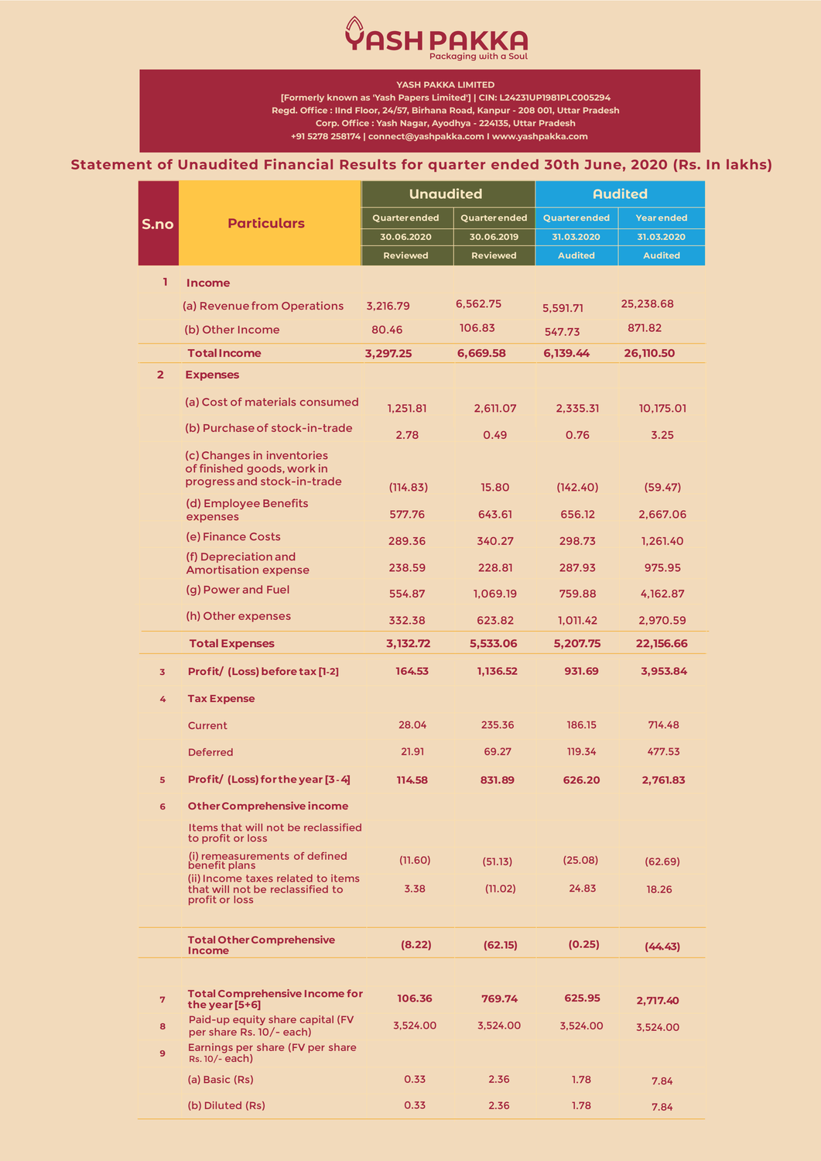## **Statement of Unaudited Financial Results for quarter ended 30th June, 2020 (Rs. In lakhs)**



**YASH PAKKA LIMITED**

 **+91 5278 258174 | connect@yashpakka.com I www.yashpakka.com [Formerly known as 'Yash Papers Limited'] | CIN: L24231UP1981PLC005294 Regd. Office : IInd Floor, 24/57, Birhana Road, Kanpur - 208 001, Uttar Pradesh Corp. Office : Yash Nagar, Ayodhya - 224135, Uttar Pradesh**

|                | <b>Particulars</b>                                                                                                   | <b>Unaudited</b>     |                 | <b>Audited</b>       |                   |
|----------------|----------------------------------------------------------------------------------------------------------------------|----------------------|-----------------|----------------------|-------------------|
| S.no           |                                                                                                                      | <b>Quarter ended</b> | Quarter ended   | <b>Quarter ended</b> | <b>Year ended</b> |
|                |                                                                                                                      | 30.06.2020           | 30.06.2019      | 31.03.2020           | 31.03.2020        |
|                |                                                                                                                      | <b>Reviewed</b>      | <b>Reviewed</b> | <b>Audited</b>       | <b>Audited</b>    |
| 1              | <b>Income</b>                                                                                                        |                      |                 |                      |                   |
|                | (a) Revenue from Operations                                                                                          | 3,216.79             | 6,562.75        | 5,591.71             | 25,238.68         |
|                | (b) Other Income                                                                                                     | 80.46                | 106.83          | 547.73               | 871.82            |
|                | <b>Total Income</b>                                                                                                  | 3,297.25             | 6,669.58        | 6,139.44             | 26,110.50         |
| $\overline{2}$ | <b>Expenses</b>                                                                                                      |                      |                 |                      |                   |
|                | (a) Cost of materials consumed                                                                                       | 1,251.81             | 2,611.07        | 2,335.31             | 10,175.01         |
|                | (b) Purchase of stock-in-trade                                                                                       | 2.78                 | 0.49            | 0.76                 | 3.25              |
|                | (c) Changes in inventories<br>of finished goods, work in<br>progress and stock-in-trade                              |                      |                 |                      |                   |
|                | (d) Employee Benefits                                                                                                | (114.83)             | 15.80           | (142.40)             | (59.47)           |
|                | expenses                                                                                                             | 577.76               | 643.61          | 656.12               | 2,667.06          |
|                | (e) Finance Costs                                                                                                    | 289.36               | 340.27          | 298.73               | 1,261.40          |
|                | (f) Depreciation and<br><b>Amortisation expense</b>                                                                  | 238.59               | 228.81          | 287.93               | 975.95            |
|                | (g) Power and Fuel                                                                                                   | 554.87               | 1,069.19        | 759.88               | 4,162.87          |
|                | (h) Other expenses                                                                                                   | 332.38               | 623.82          | 1,011.42             | 2,970.59          |
|                | <b>Total Expenses</b>                                                                                                | 3,132.72             | 5,533.06        | 5,207.75             | 22,156.66         |
| 3 <sup>7</sup> | Profit/ (Loss) before tax [1-2]                                                                                      | 164.53               | 1,136.52        | 931.69               | 3,953.84          |
| 4              | <b>Tax Expense</b>                                                                                                   |                      |                 |                      |                   |
|                | <b>Current</b>                                                                                                       | 28.04                | 235.36          | 186.15               | 714.48            |
|                | <b>Deferred</b>                                                                                                      | 21.91                | 69.27           | 119.34               | 477.53            |
| 5              | Profit/ (Loss) for the year [3 - 4]                                                                                  | 114.58               | 831.89          | 626.20               | 2,761.83          |
| 6              | <b>Other Comprehensive income</b>                                                                                    |                      |                 |                      |                   |
|                | Items that will not be reclassified<br>to profit or loss                                                             |                      |                 |                      |                   |
|                | (i) remeasurements of defined<br>benefit plans                                                                       | (11.60)              | (51.13)         | (25.08)              | (62.69)           |
|                | (ii) Income taxes related to items<br>that will not be reclassified to<br>profit or loss                             | 3.38                 | (11.02)         | 24.83                | 18.26             |
|                | <b>Total Other Comprehensive</b><br><b>Income</b>                                                                    | (8.22)               | (62.15)         | (0.25)               | (44.43)           |
| $\overline{7}$ | <b>Total Comprehensive Income for</b><br>the year [5+6]                                                              | 106.36               | 769.74          | 625.95               | 2,717.40          |
| 8<br>9         | Paid-up equity share capital (FV<br>per share Rs. 10/- each)<br>Earnings per share (FV per share<br>$Rs. 10/- each)$ | 3,524.00             | 3,524.00        | 3,524.00             | 3,524.00          |
|                | (a) Basic (Rs)                                                                                                       | 0.33                 | 2.36            | 1.78                 | 7.84              |
|                | (b) Diluted (Rs)                                                                                                     | 0.33                 | 2.36            | 1.78                 | 7.84              |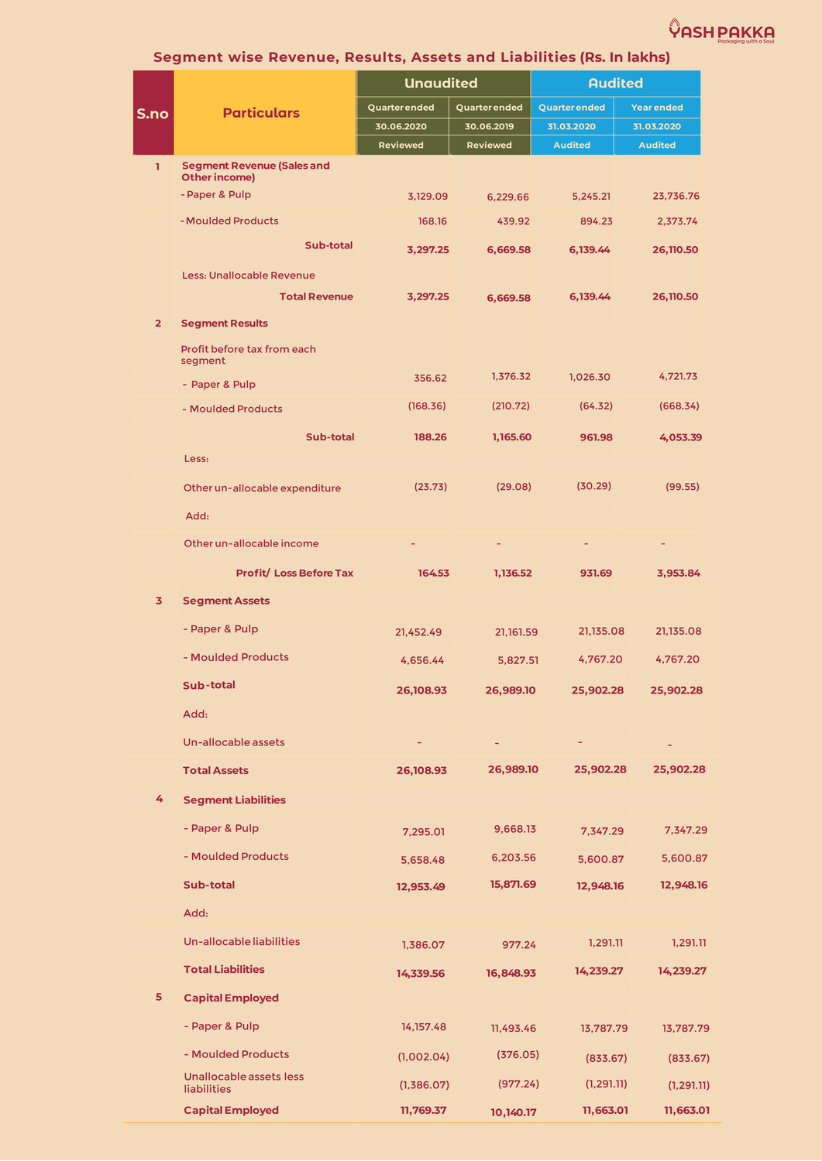

|  | Segment wise Revenue, Results, Assets and Liabilities (Rs. In lakhs) |  |
|--|----------------------------------------------------------------------|--|
|--|----------------------------------------------------------------------|--|

|                |                                                           | <b>Unaudited</b>     |                 | <b>Audited</b>       |                   |
|----------------|-----------------------------------------------------------|----------------------|-----------------|----------------------|-------------------|
| S.no           | <b>Particulars</b>                                        | <b>Quarter ended</b> | Quarter ended   | <b>Quarter ended</b> | <b>Year ended</b> |
|                |                                                           | 30.06.2020           | 30.06.2019      | 31.03.2020           | 31.03.2020        |
|                |                                                           | <b>Reviewed</b>      | <b>Reviewed</b> | <b>Audited</b>       | <b>Audited</b>    |
| T.             | <b>Segment Revenue (Sales and</b><br><b>Other income)</b> |                      |                 |                      |                   |
|                | - Paper & Pulp                                            | 3,129.09             | 6,229.66        | 5,245.21             | 23,736.76         |
|                | - Moulded Products                                        | 168.16               | 439.92          | 894.23               | 2,373.74          |
|                | <b>Sub-total</b>                                          | 3,297.25             | 6,669.58        | 6,139.44             | 26,110.50         |
|                | <b>Less: Unallocable Revenue</b>                          |                      |                 |                      |                   |
|                | <b>Total Revenue</b>                                      | 3,297.25             | 6,669.58        | 6,139.44             | 26,110.50         |
| $\overline{2}$ | <b>Segment Results</b>                                    |                      |                 |                      |                   |
|                | Profit before tax from each<br>segment                    |                      |                 |                      |                   |
|                | - Paper & Pulp                                            | 356.62               | 1,376.32        | 1,026.30             | 4,721.73          |
|                | - Moulded Products                                        | (168.36)             | (210.72)        | (64.32)              | (668.34)          |
|                | <b>Sub-total</b>                                          | 188.26               | 1,165.60        | 961.98               | 4,053.39          |
|                | Less:                                                     |                      |                 |                      |                   |
|                | Other un-allocable expenditure                            | (23.73)              | (29.08)         | (30.29)              | (99.55)           |
|                | Add:                                                      |                      |                 |                      |                   |
|                | Other un-allocable income                                 | ٠                    | ÷               | ٠                    | ٠                 |
|                | <b>Profit/Loss Before Tax</b>                             | 164.53               | 1,136.52        | 931.69               | 3,953.84          |
| 3 <sup>7</sup> | <b>Segment Assets</b>                                     |                      |                 |                      |                   |
|                | - Paper & Pulp                                            | 21,452.49            | 21,161.59       | 21,135.08            | 21,135.08         |
|                | - Moulded Products                                        | 4,656.44             | 5,827.51        | 4,767.20             | 4,767.20          |
|                | Sub-total                                                 | 26,108.93            | 26,989.10       | 25,902.28            | 25,902.28         |
|                | Add:                                                      |                      |                 |                      |                   |
|                | Un-allocable assets                                       | ٠                    | ٠               | ٠                    |                   |
|                | <b>Total Assets</b>                                       | 26,108.93            | 26,989.10       | 25,902.28            | 25,902.28         |
| 4              | <b>Segment Liabilities</b>                                |                      |                 |                      |                   |
|                | - Paper & Pulp                                            | 7,295.01             | 9,668.13        | 7,347.29             | 7,347.29          |
|                | - Moulded Products                                        | 5,658.48             | 6,203.56        | 5,600.87             | 5,600.87          |

|    | <b>Sub-total</b>                              | 12,953.49   | 15,871.69 | 12,948.16   | 12,948.16   |
|----|-----------------------------------------------|-------------|-----------|-------------|-------------|
|    | Add:                                          |             |           |             |             |
|    | Un-allocable liabilities                      | 1,386.07    | 977.24    | 1,291.11    | 1,291.11    |
|    | <b>Total Liabilities</b>                      | 14,339.56   | 16,848.93 | 14,239.27   | 14,239.27   |
| 5. | <b>Capital Employed</b>                       |             |           |             |             |
|    | - Paper & Pulp                                | 14, 157. 48 | 11,493.46 | 13,787.79   | 13,787.79   |
|    | - Moulded Products                            | (1,002.04)  | (376.05)  | (833.67)    | (833.67)    |
|    | Unallocable assets less<br><b>liabilities</b> | (1,386.07)  | (977.24)  | (1, 291.11) | (1, 291.11) |
|    | <b>Capital Employed</b>                       | 11,769.37   | 10,140.17 | 11,663.01   | 11,663.01   |